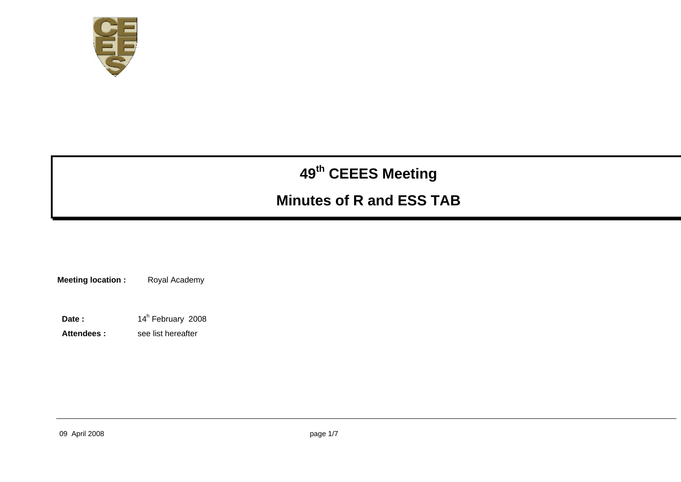

# **<sup>49</sup>th CEEES Meeting**

## **Minutes of R and ESS TAB**

**Meeting location :** Royal Academy

Date : 14<sup>h</sup> February 2008

**Attendees :** see list hereafter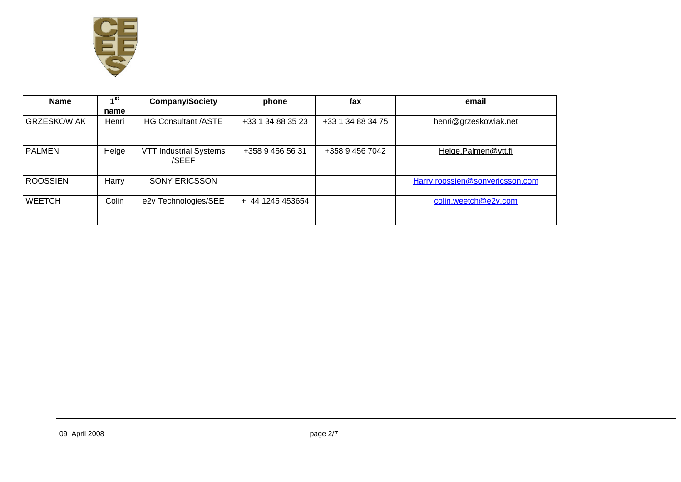

| <b>Name</b>        | ⊿ st  | <b>Company/Society</b>                 | phone             | fax               | email                           |
|--------------------|-------|----------------------------------------|-------------------|-------------------|---------------------------------|
|                    | name  |                                        |                   |                   |                                 |
| <b>GRZESKOWIAK</b> | Henri | <b>HG Consultant /ASTE</b>             | +33 1 34 88 35 23 | +33 1 34 88 34 75 | henri@grzeskowiak.net           |
| <b>PALMEN</b>      | Helge | <b>VTT Industrial Systems</b><br>/SEEF | +358 9 456 56 31  | +358 9 456 7042   | Helge.Palmen@vtt.fi             |
| <b>ROOSSIEN</b>    | Harry | <b>SONY ERICSSON</b>                   |                   |                   | Harry.roossien@sonyericsson.com |
| <b>WEETCH</b>      | Colin | e2v Technologies/SEE                   | + 44 1245 453654  |                   | colin.weetch@e2v.com            |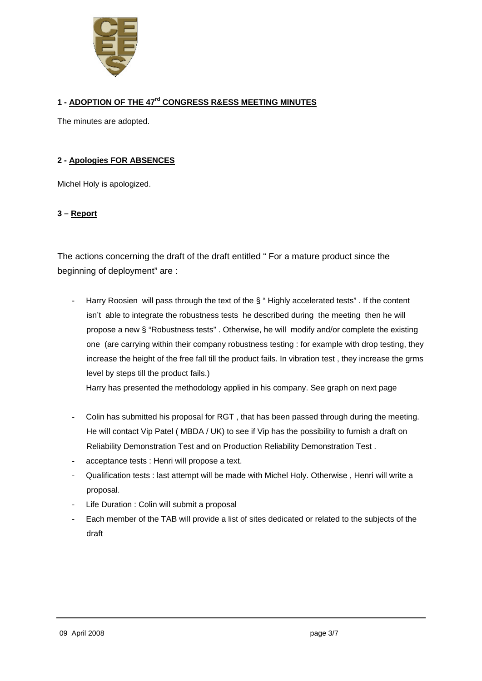

#### **1 - ADOPTION OF THE 47rd CONGRESS R&ESS MEETING MINUTES**

The minutes are adopted.

#### **2 - Apologies FOR ABSENCES**

Michel Holy is apologized.

#### **3 – Report**

The actions concerning the draft of the draft entitled " For a mature product since the beginning of deployment" are :

- Harry Roosien will pass through the text of the § " Highly accelerated tests" . If the content isn't able to integrate the robustness tests he described during the meeting then he will propose a new § "Robustness tests" . Otherwise, he will modify and/or complete the existing one (are carrying within their company robustness testing : for example with drop testing, they increase the height of the free fall till the product fails. In vibration test , they increase the grms level by steps till the product fails.)

Harry has presented the methodology applied in his company. See graph on next page

- Colin has submitted his proposal for RGT, that has been passed through during the meeting. He will contact Vip Patel ( MBDA / UK) to see if Vip has the possibility to furnish a draft on Reliability Demonstration Test and on Production Reliability Demonstration Test .
- acceptance tests : Henri will propose a text.
- Qualification tests : last attempt will be made with Michel Holy. Otherwise , Henri will write a proposal.
- Life Duration : Colin will submit a proposal
- Each member of the TAB will provide a list of sites dedicated or related to the subjects of the draft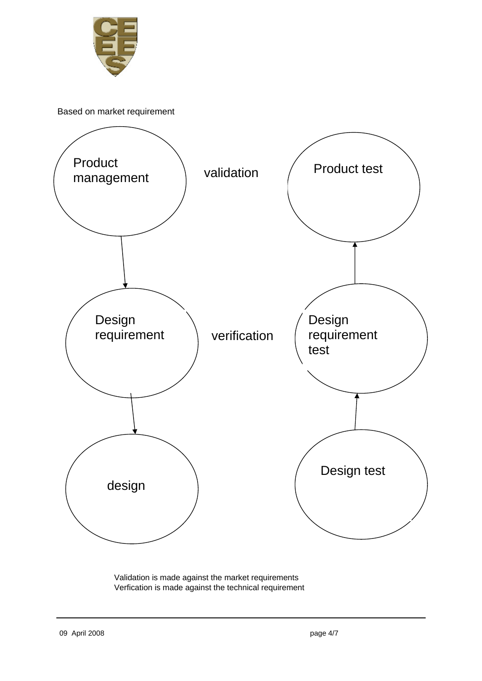

Based on market requirement



 Validation is made against the market requirements Verfication is made against the technical requirement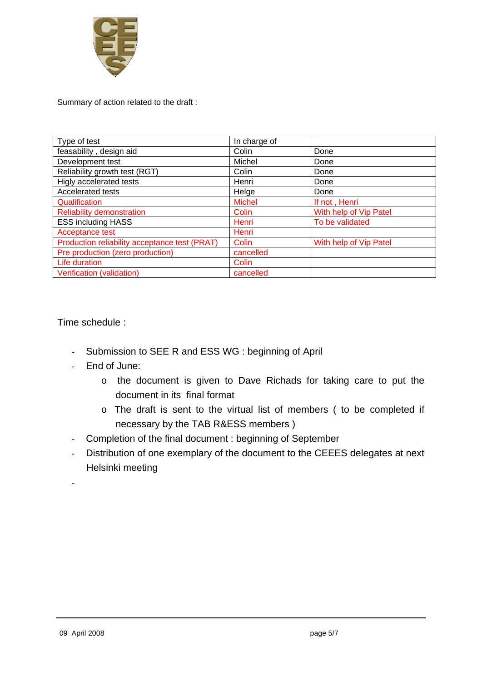

Summary of action related to the draft :

| Type of test                                  | In charge of  |                        |  |
|-----------------------------------------------|---------------|------------------------|--|
| feasability, design aid                       | Colin         | Done                   |  |
| Development test                              | Michel        | Done                   |  |
| Reliability growth test (RGT)                 | Colin         | Done                   |  |
| Higly accelerated tests                       | Henri         | Done                   |  |
| Accelerated tests                             | Helge         | Done                   |  |
| Qualification                                 | <b>Michel</b> | If not, Henri          |  |
| <b>Reliability demonstration</b>              | Colin         | With help of Vip Patel |  |
| <b>ESS including HASS</b>                     | Henri         | To be validated        |  |
| Acceptance test                               | Henri         |                        |  |
| Production reliability acceptance test (PRAT) | Colin         | With help of Vip Patel |  |
| Pre production (zero production)              | cancelled     |                        |  |
| Life duration                                 | Colin         |                        |  |
| Verification (validation)                     | cancelled     |                        |  |

Time schedule :

- Submission to SEE R and ESS WG : beginning of April
- End of June:
	- o the document is given to Dave Richads for taking care to put the document in its final format
	- o The draft is sent to the virtual list of members ( to be completed if necessary by the TAB R&ESS members )
- Completion of the final document : beginning of September
- Distribution of one exemplary of the document to the CEEES delegates at next Helsinki meeting

-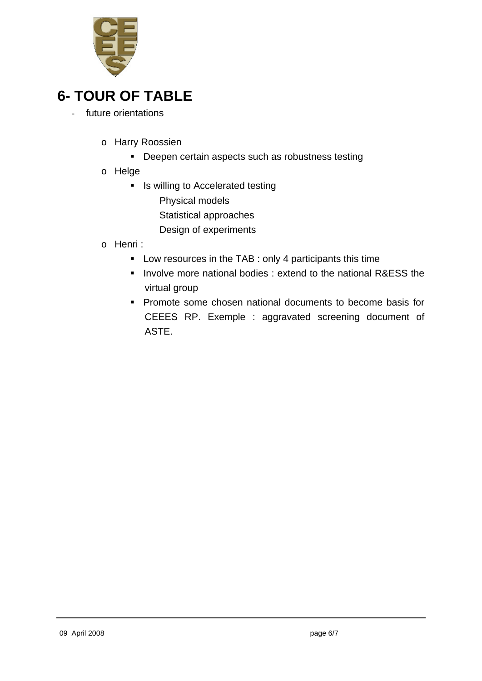

### **6- TOUR OF TABLE**

- future orientations
	- o Harry Roossien
		- **Deepen certain aspects such as robustness testing**
	- o Helge
		- **IF** Is willing to Accelerated testing Physical models Statistical approaches Design of experiments
	- o Henri :
		- **Low resources in the TAB : only 4 participants this time**
		- **Involve more national bodies : extend to the national R&ESS the** virtual group
		- **Promote some chosen national documents to become basis for** CEEES RP. Exemple : aggravated screening document of ASTE.